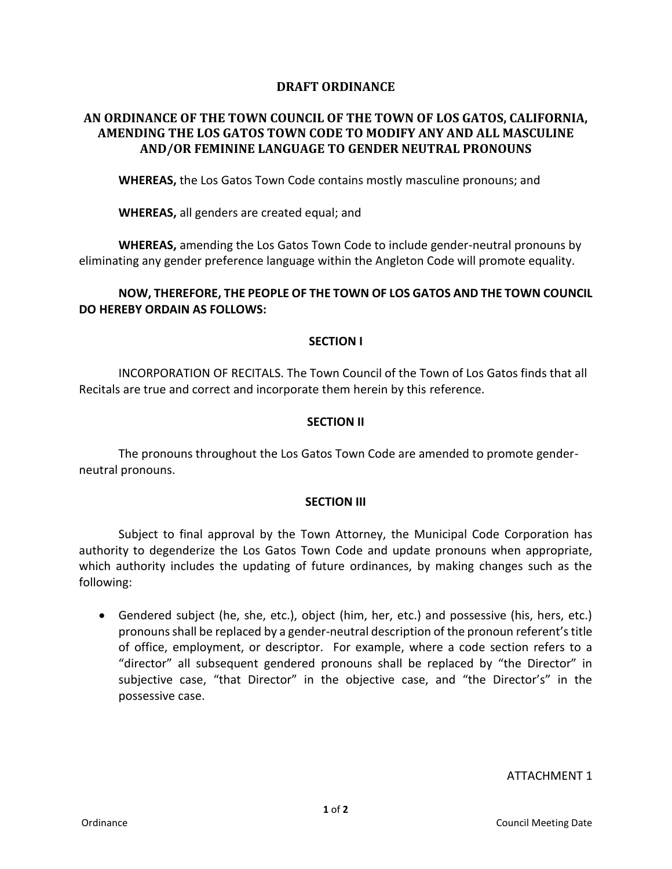## **DRAFT ORDINANCE**

# **AN ORDINANCE OF THE TOWN COUNCIL OF THE TOWN OF LOS GATOS, CALIFORNIA, AMENDING THE LOS GATOS TOWN CODE TO MODIFY ANY AND ALL MASCULINE AND/OR FEMININE LANGUAGE TO GENDER NEUTRAL PRONOUNS**

**WHEREAS,** the Los Gatos Town Code contains mostly masculine pronouns; and

**WHEREAS,** all genders are created equal; and

**WHEREAS,** amending the Los Gatos Town Code to include gender-neutral pronouns by eliminating any gender preference language within the Angleton Code will promote equality.

# **NOW, THEREFORE, THE PEOPLE OF THE TOWN OF LOS GATOS AND THE TOWN COUNCIL DO HEREBY ORDAIN AS FOLLOWS:**

### **SECTION I**

INCORPORATION OF RECITALS. The Town Council of the Town of Los Gatos finds that all Recitals are true and correct and incorporate them herein by this reference.

### **SECTION II**

The pronouns throughout the Los Gatos Town Code are amended to promote genderneutral pronouns.

#### **SECTION III**

Subject to final approval by the Town Attorney, the Municipal Code Corporation has authority to degenderize the Los Gatos Town Code and update pronouns when appropriate, which authority includes the updating of future ordinances, by making changes such as the following:

 Gendered subject (he, she, etc.), object (him, her, etc.) and possessive (his, hers, etc.) pronouns shall be replaced by a gender-neutral description of the pronoun referent's title of office, employment, or descriptor. For example, where a code section refers to a "director" all subsequent gendered pronouns shall be replaced by "the Director" in subjective case, "that Director" in the objective case, and "the Director's" in the possessive case.

ATTACHMENT 1